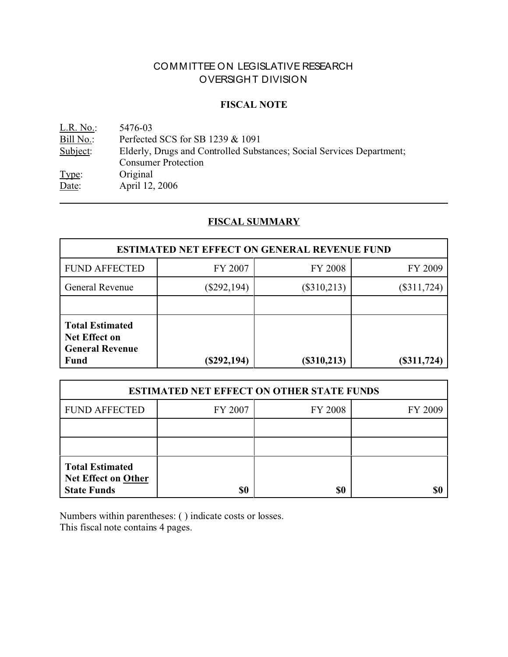# COMMITTEE ON LEGISLATIVE RESEARCH OVERSIGHT DIVISION

### **FISCAL NOTE**

<u>L.R. No.</u>: 5476-03<br>Bill No.: Perfected Bill No.: Perfected SCS for SB 1239 & 1091<br>Subject: Elderly, Drugs and Controlled Subs Elderly, Drugs and Controlled Substances; Social Services Department; Consumer Protection Type: Original Date: April 12, 2006

# **FISCAL SUMMARY**

| <b>ESTIMATED NET EFFECT ON GENERAL REVENUE FUND</b>                              |               |                                |               |  |
|----------------------------------------------------------------------------------|---------------|--------------------------------|---------------|--|
| <b>FUND AFFECTED</b>                                                             | FY 2007       | <b>FY 2008</b>                 | FY 2009       |  |
| General Revenue                                                                  | $(\$292,194)$ | $(\$310,213)$<br>$(\$311,724)$ |               |  |
|                                                                                  |               |                                |               |  |
| <b>Total Estimated</b><br>Net Effect on<br><b>General Revenue</b><br><b>Fund</b> | $(\$292,194)$ | (\$310,213)                    | $(\$311,724)$ |  |

| <b>ESTIMATED NET EFFECT ON OTHER STATE FUNDS</b>                           |         |         |         |  |
|----------------------------------------------------------------------------|---------|---------|---------|--|
| <b>FUND AFFECTED</b>                                                       | FY 2007 | FY 2008 | FY 2009 |  |
|                                                                            |         |         |         |  |
|                                                                            |         |         |         |  |
| <b>Total Estimated</b><br><b>Net Effect on Other</b><br><b>State Funds</b> | \$0     | \$0     |         |  |

Numbers within parentheses: ( ) indicate costs or losses. This fiscal note contains 4 pages.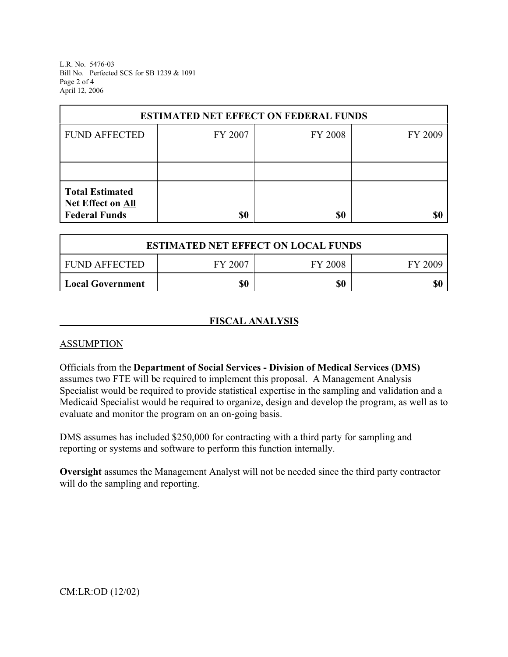L.R. No. 5476-03 Bill No. Perfected SCS for SB 1239 & 1091 Page 2 of 4 April 12, 2006

| <b>ESTIMATED NET EFFECT ON FEDERAL FUNDS</b>                        |         |         |         |  |
|---------------------------------------------------------------------|---------|---------|---------|--|
| <b>FUND AFFECTED</b>                                                | FY 2007 | FY 2008 | FY 2009 |  |
|                                                                     |         |         |         |  |
|                                                                     |         |         |         |  |
| <b>Total Estimated</b><br>Net Effect on All<br><b>Federal Funds</b> |         |         |         |  |
|                                                                     | \$0     | \$0     |         |  |

| <b>ESTIMATED NET EFFECT ON LOCAL FUNDS</b> |         |                |         |  |
|--------------------------------------------|---------|----------------|---------|--|
| FUND AFFECTED                              | FY 2007 | <b>FY 2008</b> | FY 2009 |  |
| Local Government                           | \$0     | \$0            | \$0     |  |

### **FISCAL ANALYSIS**

#### **ASSUMPTION**

Officials from the **Department of Social Services - Division of Medical Services (DMS)** assumes two FTE will be required to implement this proposal. A Management Analysis Specialist would be required to provide statistical expertise in the sampling and validation and a Medicaid Specialist would be required to organize, design and develop the program, as well as to evaluate and monitor the program on an on-going basis.

DMS assumes has included \$250,000 for contracting with a third party for sampling and reporting or systems and software to perform this function internally.

**Oversight** assumes the Management Analyst will not be needed since the third party contractor will do the sampling and reporting.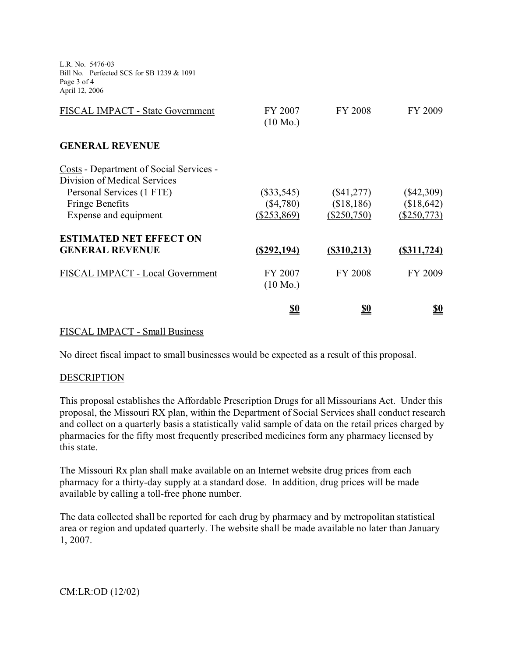L.R. No. 5476-03 Bill No. Perfected SCS for SB 1239 & 1091 Page 3 of 4 April 12, 2006

| <b>FISCAL IMPACT - State Government</b>        | FY 2007<br>$(10 \text{ Mo.})$ | <b>FY 2008</b> | FY 2009      |
|------------------------------------------------|-------------------------------|----------------|--------------|
| <b>GENERAL REVENUE</b>                         |                               |                |              |
| <b>Costs</b> - Department of Social Services - |                               |                |              |
| Division of Medical Services                   |                               |                |              |
| Personal Services (1 FTE)                      | $(\$33,545)$                  | $(\$41,277)$   | $(\$42,309)$ |
| <b>Fringe Benefits</b>                         | (\$4,780)                     | (\$18,186)     | (\$18,642)   |
| Expense and equipment                          | (\$253,869)                   | (\$250,750)    | (\$250,773)  |
| <b>ESTIMATED NET EFFECT ON</b>                 |                               |                |              |
| <b>GENERAL REVENUE</b>                         | $($ \$292,194 $)$             | $($ \$310,213) | (S311, 724)  |
| FISCAL IMPACT - Local Government               | FY 2007                       | <b>FY 2008</b> | FY 2009      |
|                                                | $(10 \text{ Mo.})$            |                |              |
|                                                | <u>\$0</u>                    | <u>\$0</u>     | <u>\$0</u>   |

#### FISCAL IMPACT - Small Business

No direct fiscal impact to small businesses would be expected as a result of this proposal.

#### DESCRIPTION

This proposal establishes the Affordable Prescription Drugs for all Missourians Act. Under this proposal, the Missouri RX plan, within the Department of Social Services shall conduct research and collect on a quarterly basis a statistically valid sample of data on the retail prices charged by pharmacies for the fifty most frequently prescribed medicines form any pharmacy licensed by this state.

The Missouri Rx plan shall make available on an Internet website drug prices from each pharmacy for a thirty-day supply at a standard dose. In addition, drug prices will be made available by calling a toll-free phone number.

The data collected shall be reported for each drug by pharmacy and by metropolitan statistical area or region and updated quarterly. The website shall be made available no later than January 1, 2007.

CM:LR:OD (12/02)